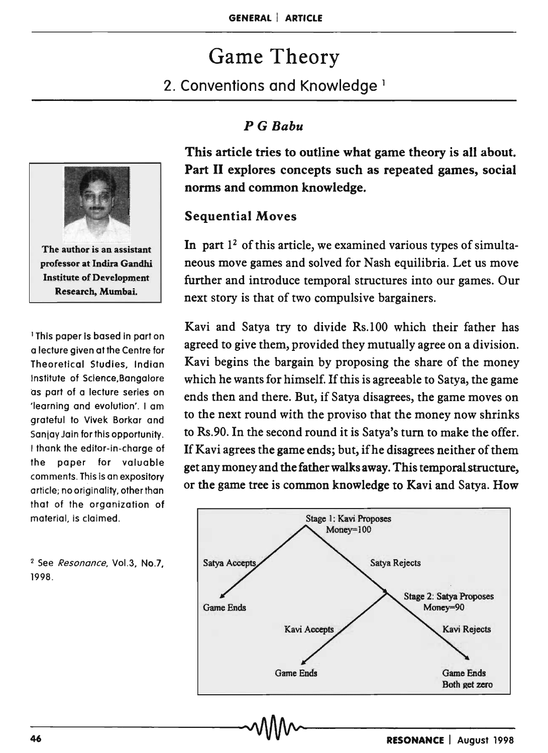# Game Theory

## 2. Conventions and Knowledge <sup>1</sup>

*P* G *Babu* 

The author is an assistant professor at Indira Gandhi Institute of Development Research, Mumbai.

1 This paper is based in part on a lecture given at the Centre for Theoretical Studies, Indian Institute of Science,Bangalore as part of a lecture series on 'learning and evolution'. I am grateful to Vivek Borkar and Sanjay Jain for this opportunity. I thank the editor-in-charge of the paper for valuable comments. This is an expository article; no originality, other than that of the organization of material, is claimed.

<sup>2</sup> See *Resonance*, Vol.3, No.7, 1998.

This article tries to outline what game theory is all about. Part II explores concepts such as repeated games, social norms and common knowledge.

### Sequential Moves

In part  $1<sup>2</sup>$  of this article, we examined various types of simultaneous move games and solved for Nash equilibria. Let us move further and introduce temporal structures into our games. Our next story is that of two compulsive bargainers.

Kavi and Satya try to divide Rs.100 which their father has agreed to give them, provided they mutually agree on a division. Kavi begins the bargain by proposing the share of the money which he wants for himself. If this is agreeable to Satya, the game ends then and there. But, if Satya disagrees, the game moves on to the next round with the proviso that the money now shrinks to Rs.90. In the second round it is Satya's tum to make the offer. If Kavi agrees the game ends; but, ifhe disagrees neither of them get any money and the father walks away. This temporalstructure, or the game tree is common knowledge to Kavi and Satya. How

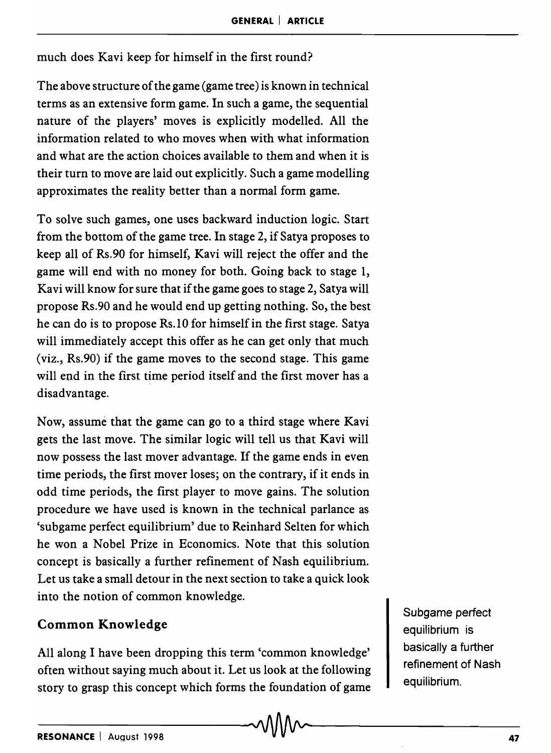much does Kavi keep for himself in the first round?

The above structure of the game (game tree) is known in technical terms as an extensive form game. In such a game, the sequential nature of the players' moves is explicitly modelled. All the information related to who moves when with what information and what are the action choices available to them and when it is their turn to move are laid out explicitly. Such a game modelling approximates the reality better than a normal form game.

To solve such games, one uses backward induction logic. Start from the bottom of the game tree. In stage 2, if Satya proposes to keep all of Rs.90 for himself, Kavi will reject the offer and the game will end with no money for both. Going back to stage 1, Kavi will know for sure that if the game goes to stage 2, Satya will propose Rs.90 and he would end up getting nothing. So, the best he can do is to propose Rs.10 for himself in the first stage. Satya will immediately accept this offer as he can get only that much (viz., Rs.90) if the game moves to the second stage. This game will end in the first time period itself and the first mover has a disadvantage.

Now, assume that the game can go to a third stage where Kavi gets the last move. The similar logic will tell us that Kavi will now possess the last mover advantage. If the game ends in even time periods, the first mover loses; on the contrary, if it ends in odd time periods, the first player to move gains. The solution procedure we have used is known in the technical parlance as 'subgame perfect equilibrium' due to Reinhard Selten for which he won a Nobel Prize in Economics. Note that this solution concept is basically a further refinement of Nash equilibrium. Let us take a small detour in the next section to take a quick look into the notion of common knowledge.

#### Common Knowledge

All along I have been dropping this term 'common knowledge' often without saying much about it. Let us look at the following story to grasp this concept which forms the foundation of game Subgame perfect equilibrium is basically a further refinement of Nash equilibrium.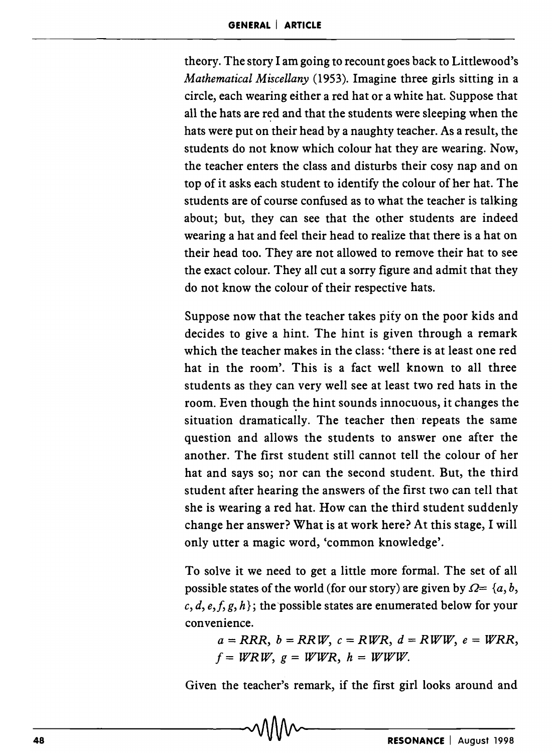theory. The story I am going to recount goes back to Littlewood's *Mathematical Miscellany* (1953). Imagine three girls sitting in a circle, each wearing either a red hat or a white hat. Suppose that all the hats are red and that the students were sleeping when the hats were put on their head by a naughty teacher. As a result, the students do not know which colour hat they are wearing. Now, the teacher enters the class and disturbs their cosy nap and on top of it asks each student to identify the colour of her hat. The students are of course confused as to what the teacher is talking about; but, they can see that the other students are indeed wearing a hat and feel their head to realize that there is a hat on their head too. They are not allowed to remove their hat to see the exact colour. They all cut a sorry figure and admit that they do not know the colour of their respective hats.

Suppose now that the teacher takes pity on the poor kids and decides to give a hint. The hint is given through a remark which the teacher makes in the class: 'there is at least one red hat in the room'. This is a fact well known to all three students as they can very well see at least two red hats in the room. Even though the hint sounds innocuous, it changes the situation dramatically. The teacher then repeats the same question and allows the students to answer one after the another. The first student still cannot tell the colour of her hat and says so; nor can the second student. But, the third student after hearing the answers of the first two can tell that she is wearing a red hat. How can the third student suddenly change her answer? What is at work here? At this stage, I will only utter a magic word, 'common knowledge'.

To solve it we need to get a little more formal. The set of all possible states of the world (for our story) are given by  $\Omega = \{a, b, c\}$  $c, d, e, f, g, h$ ; the possible states are enumerated below for your con venience.

 $a = RRR$ ,  $b = RRW$ ,  $c = RWR$ ,  $d = RWW$ ,  $e = WRR$ ,  $f = WRRW$ ,  $g = WWR$ ,  $h = WWW$ .

Given the teacher's remark, if the first girl looks around and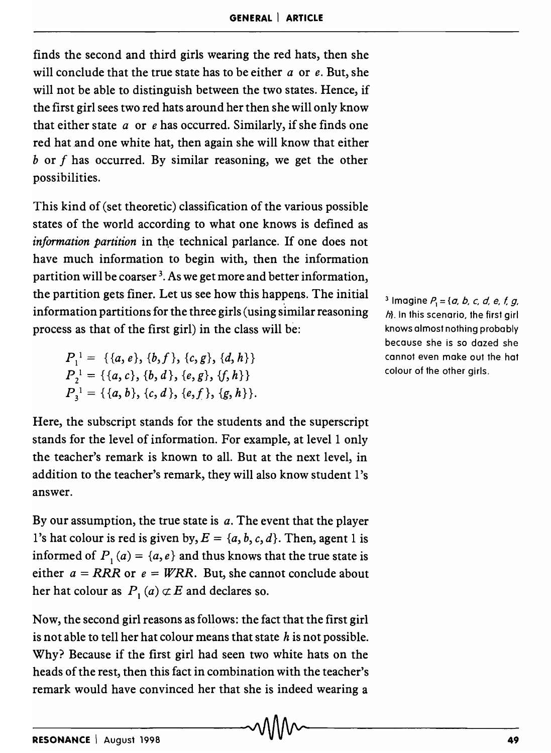finds the second and third girls wearing the red hats, then she will conclude that the true state has to be either *a* or *e.* But, she will not be able to distinguish between the two states. Hence, if the first girl sees two red hats around her then she will only know that either state *a* or *e* has occurred. Similarly, if she finds one red hat and one white hat, then again she will know that either *b* or f has occurred. By similar reasoning, we get the other possibilities.

This kind of (set theoretic) classification of the various possible states of the world according to what one knows is defined as *information partition* in the technical parlance. If one does not have much information to begin with, then the information partition will be coarser<sup>3</sup>. As we get more and better information, the partition gets finer. Let us see how this happens. The initial information partitions for the three girls (using similar reasoning process as that of the first girl) in the class will be:

 $P_1^1 = \{ \{a, e\}, \{b, f\}, \{c, g\}, \{d, h\} \}$  $P_2^1 = \{\{a, c\}, \{b, d\}, \{e, g\}, \{f, h\}\}\$  $P_3^1 = \{ \{a, b\}, \{c, d\}, \{e, f\}, \{g, h\} \}.$ 

Here, the subscript stands for the students and the superscript stands for the level of information. For example, at level 1 only the teacher's remark is known to all. But at the next level, in addition to the teacher's remark, they will also know student l's answer.

By our assumption, the true state is *a.* The event that the player l's hat colour is red is given by,  $E = \{a, b, c, d\}$ . Then, agent 1 is informed of  $P_1(a) = \{a, e\}$  and thus knows that the true state is either  $a = RRR$  or  $e = WRR$ . But, she cannot conclude about her hat colour as  $P_1(a) \not\subset E$  and declares so.

Now, the second girl reasons as follows: the fact that the first girl is not able to tell her hat colour means that state  $h$  is not possible. Why? Because if the first girl had seen two white hats on the heads of the rest, then this fact in combination with the teacher's remark would have convinced her that she is indeed wearing a

<sup>3</sup> Imagine  $P_1 = \{a, b, c, d, e, f, g, g\}$  $h$ }. In this scenario, the first girl knows almost nothing probably because she is so dazed she cannot even make out the hat colour of the other girls.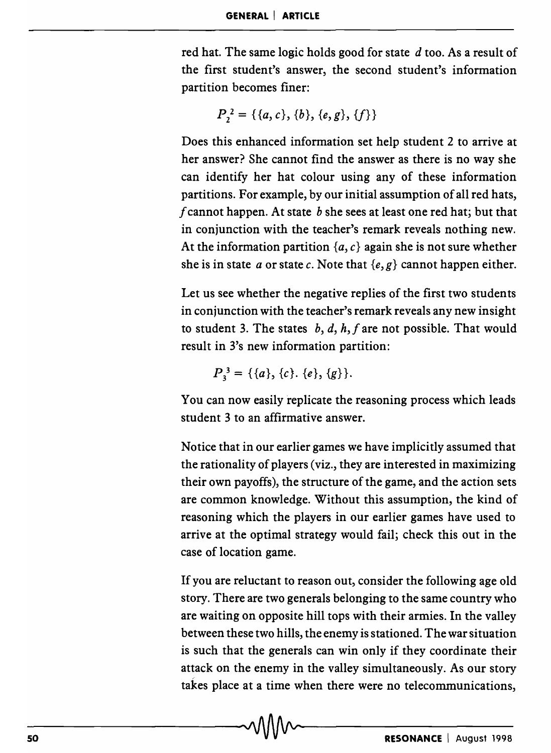red hat. The same logic holds good for state *d* too. As a result of the first student's answer, the second student's information partition becomes finer:

$$
P_2^2 = \{\{a, c\}, \{b\}, \{e, g\}, \{f\}\}\
$$

Does this enhanced information set help student 2 to arrive at her answer? She cannot find the answer as there is no way she can identify her hat colour using any of these information partitions. For example, by our initial assumption of all red hats, f cannot happen. At state  $b$  she sees at least one red hat; but that in conjunction with the teacher's remark reveals nothing new. At the information partition  $\{a, c\}$  again she is not sure whether she is in state a or state c. Note that  $\{e, g\}$  cannot happen either.

Let us see whether the negative replies of the first two students in conjunction with the teacher's remark reveals any new insight to student 3. The states  $b, d, h, f$  are not possible. That would result in 3's new information partition:

 $P_3^3 = \{ \{a\}, \{c\}, \{e\}, \{g\} \}.$ 

You can now easily replicate the reasoning process which leads student 3 to an affirmative answer.

Notice that in our earlier games we have implicitly assumed that the rationality of players (viz., they are interested in maximizing their own payoffs), the structure of the game, and the action sets are common knowledge. Without this assumption, the kind of reasoning which the players in our earlier games have used to arrive at the optimal strategy would fail; check this out in the case of location game.

If you are reluctant to reason out, consider the following age old story. There are two generals belonging to the same country who are waiting on opposite hill tops with their armies. In the valley between these two hills, the enemy is stationed. The war situation is such that the generals can win only if they coordinate their attack on the enemy in the valley simultaneously. As our story takes place at a time when there were no telecommunications,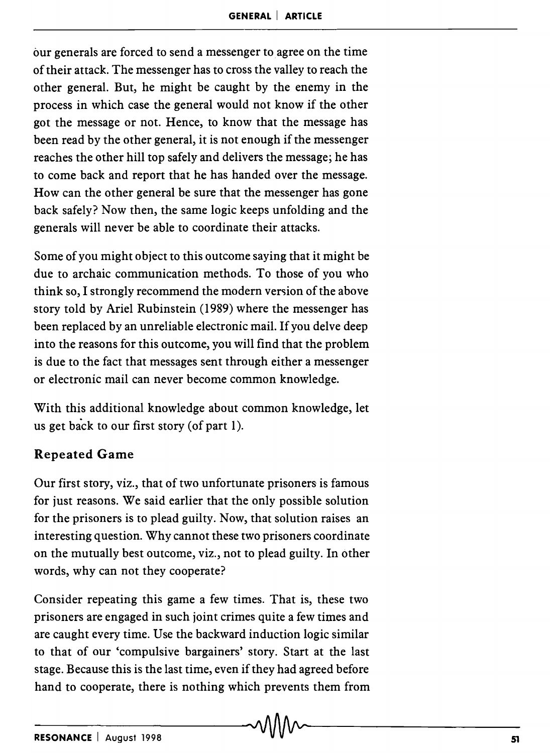our generals are forced to send a messenger to agree on the time of their attack. The messenger has to cross the valley to reach the other general. But, he might be caught by the enemy in the process in which case the general would not know if the other got the message or not. Hence, to know that the message has been read by the other general, it is not enough if the messenger reaches the other hill top safely and delivers the message; he has to come back and report that he has handed over the message. How can the other general be sure that the messenger has gone back safely? Now then, the same logic keeps unfolding and the generals will never be able to coordinate their attacks.

Some of you might object to this outcome saying that it might be due to archaic communication methods. To those of you who think so, I strongly recommend the modern version of the above story told by Ariel Rubinstein (1989) where the messenger has been replaced by an unreliable electronic mail. If you delve deep into the reasons for this outcome, you will find that the problem is due to the fact that messages sent through either a messenger or electronic mail can never become common knowledge.

With this additional knowledge about common knowledge, let us get back to our first story (of part  $1$ ).

#### Repeated Game

Our first story, viz., that of two unfortunate prisoners is famous for just reasons. We said earlier that the only possible solution for the prisoners is to plead guilty. Now, that solution raises an interesting question. Why cannot these two prisoners coordinate on the mutually best outcome, viz., not to plead guilty. In other words, why can not they cooperate?

Consider repeating this game a few times. That is, these two prisoners are engaged in such joint crimes quite a few times and are caught every time. Use the backward induction logic similar to that of our 'compulsive bargainers' story. Start at the last stage. Because this is the last time, even if they had agreed before hand to cooperate, there is nothing which prevents them from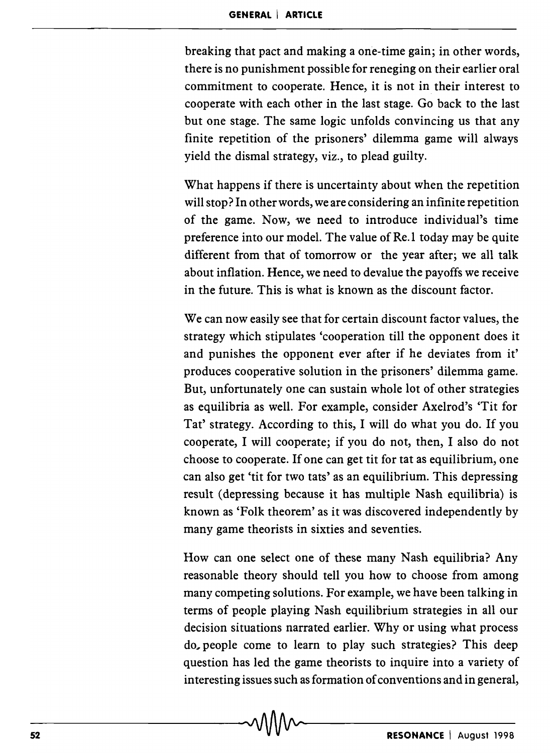breaking that pact and making a one-time gain; in other words, there is no punishment possible for reneging on their earlier oral commitment to cooperate. Hence, it is not in their interest to cooperate with each other in the last stage. Go back to the last but one stage. The same logic unfolds convincing us that any finite repetition of the prisoners' dilemma game will always yield the dismal strategy, viz., to plead guilty.

What happens if there is uncertainty about when the repetition will stop? In other words, we are considering an infinite repetition of the game. Now, we need to introduce individual's time preference into our model. The value of Re.1 today may be quite different from that of tomorrow or the year after; we all talk about inflation. Hence, we need to devalue the payoffs we receive in the future. This is what is known as the discount factor.

We can now easily see that for certain discount factor values, the strategy which stipulates 'cooperation till the opponent does it and punishes the opponent ever after if he deviates from it' produces cooperative solution in the prisoners' dilemma game. But, unfortunately one can sustain whole lot of other strategies as equilibria as well. For example, consider Axelrod's 'Tit for Tat' strategy. According to this, I will do what you do. If you cooperate, I will cooperate; if you do not, then, I also do not choose to cooperate. If one can get tit for tat as equilibrium, one can also get 'tit for two tats' as an equilibrium. This depressing result (depressing because it has multiple Nash equilibria) is known as 'Folk theorem' as it was discovered independently by many game theorists in sixties and seventies.

How can one select one of these many Nash equilibria? Any reasonable theory should tell you how to choose from among many competing solutions. For example, we have been talking in terms of people playing Nash equilibrium strategies in all our decision situations narrated earlier. Why or using what process do, people come to learn to play such strategies? This deep question has led the game theorists to inquire into a variety of interesting issues such as formation of conventions and in general,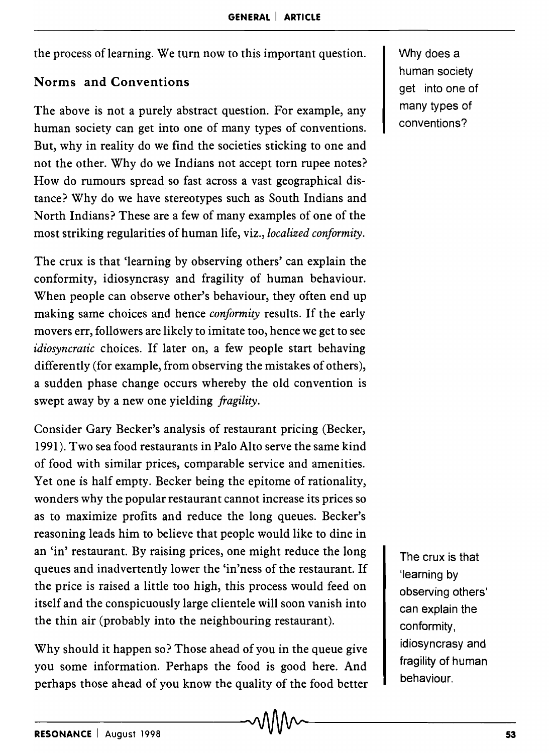the process of learning. We turn now to this important question.

#### Norms and Conventions

The above is not a purely abstract question. For example, any human society can get into one of many types of conventions. But, why in reality do we find the societies sticking to one and not the other. Why do we Indians not accept torn rupee notes? How do rumours spread so fast across a vast geographical distance? Why do we have stereotypes such as South Indians and North Indians? These are a few of many examples of one of the most striking regularities of human life, viz., *localized conformity.* 

The crux is that 'learning by observing others' can explain the conformity, idiosyncrasy and fragility of human behaviour. When people can observe other's behaviour, they often end up making same choices and hence *conformity* results. If the early movers err, followers are likely to imitate too, hence we get to see *idiosyncratic* choices. If later on, a few people start behaving differently (for example, from observing the mistakes of others), a sudden phase change occurs whereby the old convention is swept away by a new one yielding *fragility.* 

Consider Gary Becker's analysis of restaurant pricing (Becker, 1991). Two sea food restaurants in Palo Alto serve the same kind of food with similar prices, comparable service and amenities. Yet one is half empty. Becker being the epitome of rationality, wonders why the popular restaurant cannot increase its prices so as to maximize profits and reduce the long queues. Becker's reasoning leads him to believe that people would like to dine in an 'in' restaurant. By raising prices, one might reduce the long queues and inadvertently lower the 'in'ness of the restaurant. If the price is raised a little too high, this process would feed on itself and the conspicuously large clientele will soon vanish into the thin air (probably into the neighbouring restaurant).

Why should it happen so? Those ahead of you in the queue give you some information. Perhaps the food is good here. And perhaps those ahead of you know the quality of the food better

Why does a human society get into one of many types of conventions?

The crux is that 'learning by observing others' can explain the conformity, idiosyncrasy and fragility of human behaviour.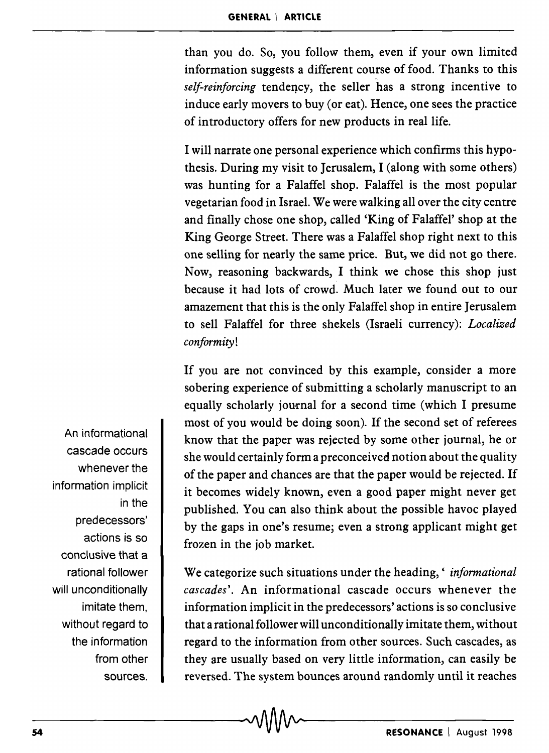than you do. So, you follow them, even if your own limited information suggests a different course of food. Thanks to this *self-reinforcing* tendency, the seller has a strong incentive to induce early movers to buy (or eat). Hence, one sees the practice of introductory offers for new products in real life.

I will narrate one personal experience which confirms this hypothesis. During my visit to Jerusalem, I (along with some others) was hunting for a Falaffel shop. Falaffel is the most popular vegetarian food in Israel. We were walking all over the city centre and finally chose one shop, called 'King of Falaffel' shop at the King George Street. There was a Falaffel shop right next to this one selling for nearly the same price. But, we did not go there. Now, reasoning backwards, I think we chose this shop just because it had lots of crowd. Much later we found out to our amazement that this is the only Falaffel shop in entire Jerusalem to sell Falaffel for three shekels (Israeli currency): *Localized conformity!* 

If you are not convinced by this example, consider a more sobering experience of submitting a scholarly manuscript to an equally scholarly journal for a second time (which I presume most of you would be doing soon). If the second set of referees know that the paper was rejected by some other journal, he or she would certainly form a preconceived notion about the quality of the paper and chances are that the paper would be rejected. If it becomes widely known, even a good paper might never get published. You can also think about the possible havoc played by the gaps in one's resume; even a strong applicant might get frozen in the job market.

We categorize such situations under the heading, ' *informational cascades'.* An informational cascade occurs whenever the information implicit in the predecessors' actions is so conclusive that a rational follower will unconditionally imitate them, without regard to the information from other sources. Such cascades, as they are usually based on very little information, can easily be reversed. The system bounces around randomly until it reaches

An informational cascade occurs whenever the information implicit in the predecessors' actions is so conclusive that a rational follower will unconditionally imitate them, without regard to the information from other sources.